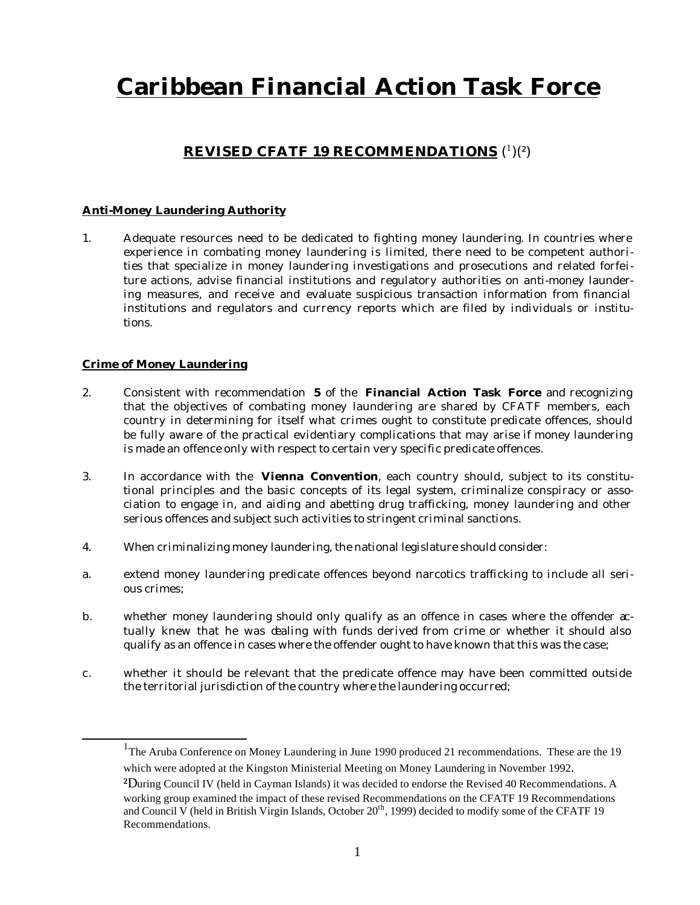# **Caribbean Financial Action Task Force**

# **REVISED CFATF 19 RECOMMENDATIONS** ( 1 )(²)

# **Anti-Money Laundering Authority**

1. Adequate resources need to be dedicated to fighting money laundering. In countries where experience in combating money laundering is limited, there need to be competent authorities that specialize in money laundering investigations and prosecutions and related forfeiture actions, advise financial institutions and regulatory authorities on anti-money laundering measures, and receive and evaluate suspicious transaction information from financial institutions and regulators and currency reports which are filed by individuals or institutions.

# **Crime of Money Laundering**

l

- 2. Consistent with recommendation **5** of the **Financial Action Task Force** and recognizing that the objectives of combating money laundering are shared by CFATF members, each country in determining for itself what crimes ought to constitute predicate offences, should be fully aware of the practical evidentiary complications that may arise if money laundering is made an offence only with respect to certain very specific predicate offences.
- 3. In accordance with the **Vienna Convention**, each country should, subject to its constitutional principles and the basic concepts of its legal system, criminalize conspiracy or association to engage in, and aiding and abetting drug trafficking, money laundering and other serious offences and subject such activities to stringent criminal sanctions.
- 4. When criminalizing money laundering, the national legislature should consider:
- a. extend money laundering predicate offences beyond narcotics trafficking to include all serious crimes;
- b. whether money laundering should only qualify as an offence in cases where the offender  $\alpha$ tually knew that he was dealing with funds derived from crime or whether it should also qualify as an offence in cases where the offender ought to have known that this was the case;
- c. whether it should be relevant that the predicate offence may have been committed outside the territorial jurisdiction of the country where the laundering occurred;

<sup>&</sup>lt;sup>1</sup>The Aruba Conference on Money Laundering in June 1990 produced 21 recommendations. These are the 19 which were adopted at the Kingston Ministerial Meeting on Money Laundering in November 1992.

**²**During Council IV (held in Cayman Islands) it was decided to endorse the Revised 40 Recommendations. A working group examined the impact of these revised Recommendations on the CFATF 19 Recommendations and Council V (held in British Virgin Islands, October  $20^{th}$ , 1999) decided to modify some of the CFATF 19 Recommendations.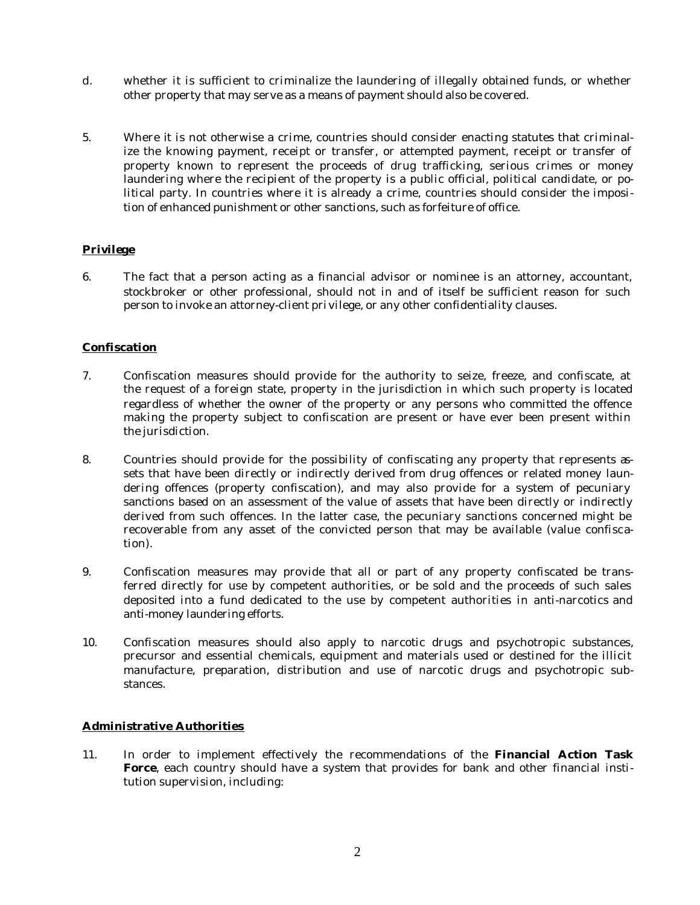- d. whether it is sufficient to criminalize the laundering of illegally obtained funds, or whether other property that may serve as a means of payment should also be covered.
- 5. Where it is not otherwise a crime, countries should consider enacting statutes that criminalize the knowing payment, receipt or transfer, or attempted payment, receipt or transfer of property known to represent the proceeds of drug trafficking, serious crimes or money laundering where the recipient of the property is a public official, political candidate, or political party. In countries where it is already a crime, countries should consider the imposition of enhanced punishment or other sanctions, such as forfeiture of office.

# *Privilege*

6. The fact that a person acting as a financial advisor or nominee is an attorney, accountant, stockbroker or other professional, should not in and of itself be sufficient reason for such person to invoke an attorney-client privilege, or any other confidentiality clauses.

# **Confiscation**

- 7. Confiscation measures should provide for the authority to seize, freeze, and confiscate, at the request of a foreign state, property in the jurisdiction in which such property is located regardless of whether the owner of the property or any persons who committed the offence making the property subject to confiscation are present or have ever been present within the jurisdiction.
- 8. Countries should provide for the possibility of confiscating any property that represents assets that have been directly or indirectly derived from drug offences or related money laundering offences (property confiscation), and may also provide for a system of pecuniary sanctions based on an assessment of the value of assets that have been directly or indirectly derived from such offences. In the latter case, the pecuniary sanctions concerned might be recoverable from any asset of the convicted person that may be available (value confiscation).
- 9. Confiscation measures may provide that all or part of any property confiscated be transferred directly for use by competent authorities, or be sold and the proceeds of such sales deposited into a fund dedicated to the use by competent authorities in anti-narcotics and anti-money laundering efforts.
- 10. Confiscation measures should also apply to narcotic drugs and psychotropic substances, precursor and essential chemicals, equipment and materials used or destined for the illicit manufacture, preparation, distribution and use of narcotic drugs and psychotropic substances.

#### **Administrative Authorities**

11. In order to implement effectively the recommendations of the **Financial Action Task Force**, each country should have a system that provides for bank and other financial institution supervision, including: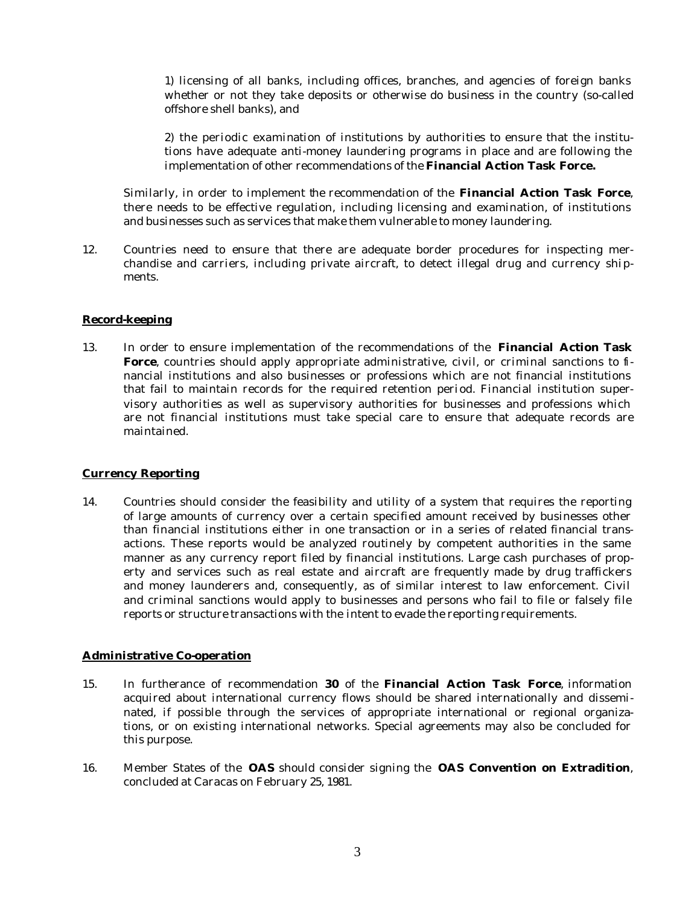1) licensing of all banks, including offices, branches, and agencies of foreign banks whether or not they take deposits or otherwise do business in the country (so-called offshore shell banks), and

2) the periodic examination of institutions by authorities to ensure that the institutions have adequate anti-money laundering programs in place and are following the implementation of other recommendations of the **Financial Action Task Force.**

Similarly, in order to implement the recommendation of the **Financial Action Task Force**, there needs to be effective regulation, including licensing and examination, of institutions and businesses such as services that make them vulnerable to money laundering.

12. Countries need to ensure that there are adequate border procedures for inspecting merchandise and carriers, including private aircraft, to detect illegal drug and currency shipments.

# **Record-keeping**

13. In order to ensure implementation of the recommendations of the **Financial Action Task Force**, countries should apply appropriate administrative, civil, or criminal sanctions to financial institutions and also businesses or professions which are not financial institutions that fail to maintain records for the required retention period. Financial institution supervisory authorities as well as supervisory authorities for businesses and professions which are not financial institutions must take special care to ensure that adequate records are maintained.

#### **Currency Reporting**

14. Countries should consider the feasibility and utility of a system that requires the reporting of large amounts of currency over a certain specified amount received by businesses other than financial institutions either in one transaction or in a series of related financial transactions. These reports would be analyzed routinely by competent authorities in the same manner as any currency report filed by financial institutions. Large cash purchases of property and services such as real estate and aircraft are frequently made by drug traffickers and money launderers and, consequently, as of similar interest to law enforcement. Civil and criminal sanctions would apply to businesses and persons who fail to file or falsely file reports or structure transactions with the intent to evade the reporting requirements.

#### **Administrative Co-operation**

- 15. In furtherance of recommendation **30** of the **Financial Action Task Force**, information acquired about international currency flows should be shared internationally and disseminated, if possible through the services of appropriate international or regional organizations, or on existing international networks. Special agreements may also be concluded for this purpose.
- 16. Member States of the **OAS** should consider signing the **OAS Convention on Extradition**, concluded at Caracas on February 25, 1981.